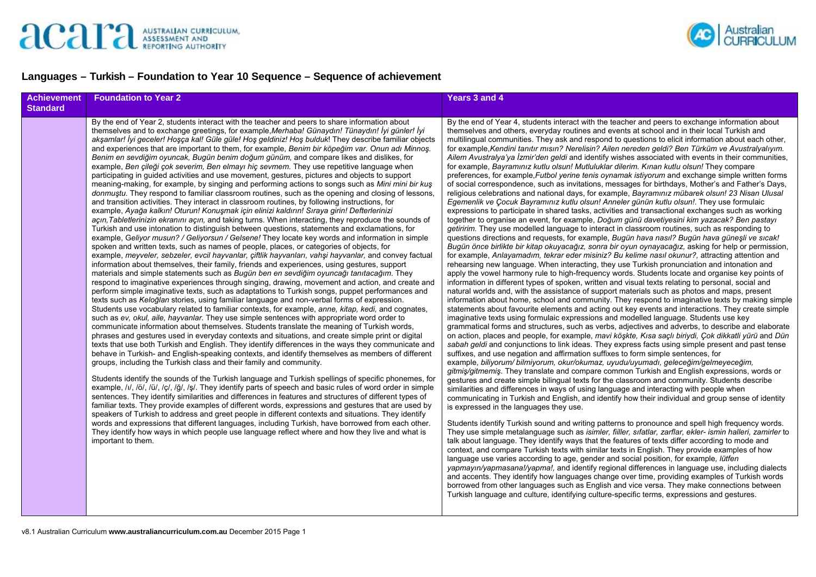



## **Languages – Turkish – Foundation to Year 10 Sequence – Sequence of achievement**

| <b>Achievement</b><br><b>Standard</b> | <b>Foundation to Year 2</b>                                                                                                                                                                                                                                                                                                                                                                                                                                                                                                                                                                                                                                                                                                                                                                                                                                                                                                                                                                                                                                                                                                                                                                                                                                                                                                                                                                                                                                                                                                                                                                                                                                                                                                                                                                                                                                                                                                                                                                                                                                                                                                                                                                                                                                                                                                                                                                                                                                                                                                                                                                                                                                                                                                                                                                                                                                                                                                                                                                                                                                                                                                                                                                                                                                                                                                                                                                                                                                                                                                                                                                                       | <b>Years 3 and 4</b>                                                                                                                                                                                                                                                                                                                                                                                                                                                                                                                                                                                                                                                                                                                                                                                                                                                                                                                                                                                                                                                                                                                                                                                                                                                                                                                                                                                                                                                                                                                                                                                                                                                                                                                                                                                                                                                                                                                                                                                                                                                                                                                                                                                                                                                                                                                                                                                                                                                                                                                                                                                                                                                                                                                                                                                                                                                                                                                                                                                                                                                                                                                                                                                                                                                                                                                                                                                                                                                                                                                                                                                                                                                                                                                                                                                                                                                                                                                                                                                                                                                                                                                                                                                                                             |
|---------------------------------------|-------------------------------------------------------------------------------------------------------------------------------------------------------------------------------------------------------------------------------------------------------------------------------------------------------------------------------------------------------------------------------------------------------------------------------------------------------------------------------------------------------------------------------------------------------------------------------------------------------------------------------------------------------------------------------------------------------------------------------------------------------------------------------------------------------------------------------------------------------------------------------------------------------------------------------------------------------------------------------------------------------------------------------------------------------------------------------------------------------------------------------------------------------------------------------------------------------------------------------------------------------------------------------------------------------------------------------------------------------------------------------------------------------------------------------------------------------------------------------------------------------------------------------------------------------------------------------------------------------------------------------------------------------------------------------------------------------------------------------------------------------------------------------------------------------------------------------------------------------------------------------------------------------------------------------------------------------------------------------------------------------------------------------------------------------------------------------------------------------------------------------------------------------------------------------------------------------------------------------------------------------------------------------------------------------------------------------------------------------------------------------------------------------------------------------------------------------------------------------------------------------------------------------------------------------------------------------------------------------------------------------------------------------------------------------------------------------------------------------------------------------------------------------------------------------------------------------------------------------------------------------------------------------------------------------------------------------------------------------------------------------------------------------------------------------------------------------------------------------------------------------------------------------------------------------------------------------------------------------------------------------------------------------------------------------------------------------------------------------------------------------------------------------------------------------------------------------------------------------------------------------------------------------------------------------------------------------------------------------------------|--------------------------------------------------------------------------------------------------------------------------------------------------------------------------------------------------------------------------------------------------------------------------------------------------------------------------------------------------------------------------------------------------------------------------------------------------------------------------------------------------------------------------------------------------------------------------------------------------------------------------------------------------------------------------------------------------------------------------------------------------------------------------------------------------------------------------------------------------------------------------------------------------------------------------------------------------------------------------------------------------------------------------------------------------------------------------------------------------------------------------------------------------------------------------------------------------------------------------------------------------------------------------------------------------------------------------------------------------------------------------------------------------------------------------------------------------------------------------------------------------------------------------------------------------------------------------------------------------------------------------------------------------------------------------------------------------------------------------------------------------------------------------------------------------------------------------------------------------------------------------------------------------------------------------------------------------------------------------------------------------------------------------------------------------------------------------------------------------------------------------------------------------------------------------------------------------------------------------------------------------------------------------------------------------------------------------------------------------------------------------------------------------------------------------------------------------------------------------------------------------------------------------------------------------------------------------------------------------------------------------------------------------------------------------------------------------------------------------------------------------------------------------------------------------------------------------------------------------------------------------------------------------------------------------------------------------------------------------------------------------------------------------------------------------------------------------------------------------------------------------------------------------------------------------------------------------------------------------------------------------------------------------------------------------------------------------------------------------------------------------------------------------------------------------------------------------------------------------------------------------------------------------------------------------------------------------------------------------------------------------------------------------------------------------------------------------------------------------------------------------------------------------------------------------------------------------------------------------------------------------------------------------------------------------------------------------------------------------------------------------------------------------------------------------------------------------------------------------------------------------------------------------------------------------------------------------------------------------------------------------|
|                                       | By the end of Year 2, students interact with the teacher and peers to share information about<br>themselves and to exchange greetings, for example, Merhaba! Günaydın! Tünaydın! İyi günler! İyi<br>akşamlar! İyi geceler! Hoşça kal! Güle güle! Hoş geldiniz! Hoş bulduk! They describe familiar objects<br>and experiences that are important to them, for example, Benim bir köpeğim var. Onun adı Minnos.<br>Benim en sevdiğim oyuncak, Bugün benim doğum günüm, and compare likes and dislikes, for<br>example, Ben cileği çok severim, Ben elmayı hic sevmem. They use repetitive language when<br>participating in guided activities and use movement, gestures, pictures and objects to support<br>meaning-making, for example, by singing and performing actions to songs such as Mini mini bir kus<br>donmustu. They respond to familiar classroom routines, such as the opening and closing of lessons,<br>and transition activities. They interact in classroom routines, by following instructions, for<br>example, Ayağa kalkın! Oturun! Konuşmak için elinizi kaldırın! Sıraya girin! Defterlerinizi<br>açın, Tabletlerinizin ekranını açın, and taking turns. When interacting, they reproduce the sounds of<br>Turkish and use intonation to distinguish between questions, statements and exclamations, for<br>example, Geliyor musun? / Geliyorsun / Gelsene! They locate key words and information in simple<br>spoken and written texts, such as names of people, places, or categories of objects, for<br>example, meyveler, sebzeler, evcil hayvanlar, ciftlik hayvanları, vahşi hayvanlar, and convey factual<br>information about themselves, their family, friends and experiences, using gestures, support<br>materials and simple statements such as Bugün ben en sevdiğim oyuncağı tanıtacağım. They<br>respond to imaginative experiences through singing, drawing, movement and action, and create and<br>perform simple imaginative texts, such as adaptations to Turkish songs, puppet performances and<br>texts such as Keloğlan stories, using familiar language and non-verbal forms of expression.<br>Students use vocabulary related to familiar contexts, for example, anne, kitap, kedi, and cognates,<br>such as ev, okul, aile, hayvanlar. They use simple sentences with appropriate word order to<br>communicate information about themselves. Students translate the meaning of Turkish words,<br>phrases and gestures used in everyday contexts and situations, and create simple print or digital<br>texts that use both Turkish and English. They identify differences in the ways they communicate and<br>behave in Turkish- and English-speaking contexts, and identify themselves as members of different<br>groups, including the Turkish class and their family and community.<br>Students identify the sounds of the Turkish language and Turkish spellings of specific phonemes, for<br>example, /i/, /ö/, /ü/, /ç/, /ğ/, /ş/. They identify parts of speech and basic rules of word order in simple<br>sentences. They identify similarities and differences in features and structures of different types of<br>familiar texts. They provide examples of different words, expressions and gestures that are used by<br>speakers of Turkish to address and greet people in different contexts and situations. They identify<br>words and expressions that different languages, including Turkish, have borrowed from each other.<br>They identify how ways in which people use language reflect where and how they live and what is<br>important to them. | By the end of Year 4, students interact with the teacher and peers to exchange information about<br>themselves and others, everyday routines and events at school and in their local Turkish and<br>multilingual communities. They ask and respond to questions to elicit information about each other,<br>for example, Kendini tanıtır mısın? Nerelisin? Ailen nereden geldi? Ben Türküm ve Avustralyalıyım.<br>Ailem Avustralya'ya İzmir'den geldi and identify wishes associated with events in their communities,<br>for example, Bayramınız kutlu olsun! Mutluluklar dilerim. Kınan kutlu olsun! They compare<br>preferences, for example, Futbol yerine tenis oynamak istiyorum and exchange simple written forms<br>of social correspondence, such as invitations, messages for birthdays, Mother's and Father's Days,<br>religious celebrations and national days, for example, Bayramınız mübarek olsun! 23 Nisan Ulusal<br>Egemenlik ve Çocuk Bayramınız kutlu olsun! Anneler günün kutlu olsun!. They use formulaic<br>expressions to participate in shared tasks, activities and transactional exchanges such as working<br>together to organise an event, for example, Doğum günü davetiyesini kim yazacak? Ben pastayı<br><i>getiririm.</i> They use modelled language to interact in classroom routines, such as responding to<br>questions directions and requests, for example, Bugün hava nasıl? Bugün hava güneşli ve sıcak!<br>Bugün önce birlikte bir kitap okuyacağız, sonra bir oyun oynayacağız, asking for help or permission,<br>for example, Anlayamadım, tekrar eder misiniz? Bu kelime nasıl okunur?, attracting attention and<br>rehearsing new language. When interacting, they use Turkish pronunciation and intonation and<br>apply the vowel harmony rule to high-frequency words. Students locate and organise key points of<br>information in different types of spoken, written and visual texts relating to personal, social and<br>natural worlds and, with the assistance of support materials such as photos and maps, present<br>information about home, school and community. They respond to imaginative texts by making simple<br>statements about favourite elements and acting out key events and interactions. They create simple<br>imaginative texts using formulaic expressions and modelled language. Students use key<br>grammatical forms and structures, such as verbs, adjectives and adverbs, to describe and elaborate<br>on action, places and people, for example, mavi köşkte, Kısa saçlı biriydi, Çok dikkatli yürü and Dün<br>sabah geldi and conjunctions to link ideas. They express facts using simple present and past tense<br>suffixes, and use negation and affirmation suffixes to form simple sentences, for<br>example, biliyorum/ bilmiyorum, okur/okumaz, uyudu/uyumadı, geleceğim/gelmeyeceğim,<br>gitmis/gitmemis. They translate and compare common Turkish and English expressions, words or<br>gestures and create simple bilingual texts for the classroom and community. Students describe<br>similarities and differences in ways of using language and interacting with people when<br>communicating in Turkish and English, and identify how their individual and group sense of identity<br>is expressed in the languages they use.<br>Students identify Turkish sound and writing patterns to pronounce and spell high frequency words.<br>They use simple metalanguage such as isimler, fiiller, sifatlar, zarflar, ekler- ismin halleri, zamirler to<br>talk about language. They identify ways that the features of texts differ according to mode and<br>context, and compare Turkish texts with similar texts in English. They provide examples of how<br>language use varies according to age, gender and social position, for example, lütfen<br>yapmayın/yapmasana!/yapma!, and identify regional differences in language use, including dialects<br>and accents. They identify how languages change over time, providing examples of Turkish words<br>borrowed from other languages such as English and vice versa. They make connections between<br>Turkish language and culture, identifying culture-specific terms, expressions and gestures. |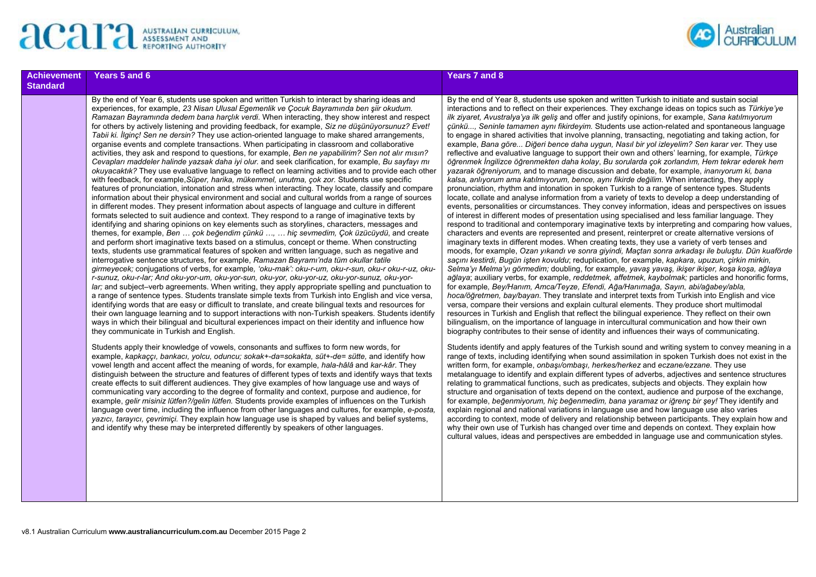



| Achievement<br><b>Standard</b> | Years 5 and 6                                                                                                                                                                                                                                                                                                                                                                                                                                                                                                                                                                                                                                                                                                                                                                                                                                                                                                                                                                                                                                                                                                                                                                                                                                                                                                                                                                                                                                                                                                                                                                                                                                                                                                                                                                                                                                                                                                                                                                                                                                                                                                                                                                                                                                                                                                                                                                                                                                                                                                                                                                                                                                                                                                                     | Years 7 and 8                                                                                                                                                                                                                                                                                                                                                                                                                                                                                                                                                                                                                                                                                                                                                                                                                                                                                                                                                                                                                                                                                                                                                                                                             |
|--------------------------------|-----------------------------------------------------------------------------------------------------------------------------------------------------------------------------------------------------------------------------------------------------------------------------------------------------------------------------------------------------------------------------------------------------------------------------------------------------------------------------------------------------------------------------------------------------------------------------------------------------------------------------------------------------------------------------------------------------------------------------------------------------------------------------------------------------------------------------------------------------------------------------------------------------------------------------------------------------------------------------------------------------------------------------------------------------------------------------------------------------------------------------------------------------------------------------------------------------------------------------------------------------------------------------------------------------------------------------------------------------------------------------------------------------------------------------------------------------------------------------------------------------------------------------------------------------------------------------------------------------------------------------------------------------------------------------------------------------------------------------------------------------------------------------------------------------------------------------------------------------------------------------------------------------------------------------------------------------------------------------------------------------------------------------------------------------------------------------------------------------------------------------------------------------------------------------------------------------------------------------------------------------------------------------------------------------------------------------------------------------------------------------------------------------------------------------------------------------------------------------------------------------------------------------------------------------------------------------------------------------------------------------------------------------------------------------------------------------------------------------------|---------------------------------------------------------------------------------------------------------------------------------------------------------------------------------------------------------------------------------------------------------------------------------------------------------------------------------------------------------------------------------------------------------------------------------------------------------------------------------------------------------------------------------------------------------------------------------------------------------------------------------------------------------------------------------------------------------------------------------------------------------------------------------------------------------------------------------------------------------------------------------------------------------------------------------------------------------------------------------------------------------------------------------------------------------------------------------------------------------------------------------------------------------------------------------------------------------------------------|
|                                | By the end of Year 6, students use spoken and written Turkish to interact by sharing ideas and<br>experiences, for example, 23 Nisan Ulusal Egemenlik ve Çocuk Bayramında ben şiir okudum.<br>Ramazan Bayraminda dedem bana harçlık verdi. When interacting, they show interest and respect<br>for others by actively listening and providing feedback, for example, Siz ne düşünüyorsunuz? Evet!<br>Tabii ki. Ilginc! Sen ne dersin? They use action-oriented language to make shared arrangements,<br>organise events and complete transactions. When participating in classroom and collaborative<br>activities, they ask and respond to questions, for example, Ben ne yapabilirim? Sen not alır mısın?<br>Cevapları maddeler halinde yazsak daha iyi olur. and seek clarification, for example, Bu sayfayı mı<br>okuyacaktik? They use evaluative language to reflect on learning activities and to provide each other<br>with feedback, for example, Süper, harika, mükemmel, unutma, çok zor. Students use specific<br>features of pronunciation, intonation and stress when interacting. They locate, classify and compare<br>information about their physical environment and social and cultural worlds from a range of sources<br>in different modes. They present information about aspects of language and culture in different<br>formats selected to suit audience and context. They respond to a range of imaginative texts by<br>identifying and sharing opinions on key elements such as storylines, characters, messages and<br>themes, for example, Ben  cok begendim cünkü ,  hic sevmedim, Cok üzücüydü, and create<br>and perform short imaginative texts based on a stimulus, concept or theme. When constructing<br>texts, students use grammatical features of spoken and written language, such as negative and<br>interrogative sentence structures, for example, Ramazan Bayrami'nda tüm okullar tatile<br>girmeyecek; conjugations of verbs, for example, 'oku-mak': oku-r-um, oku-r-sun, oku-r oku-r-uz, oku-<br>r-sunuz, oku-r-lar; And oku-yor-um, oku-yor-sun, oku-yor, oku-yor-uz, oku-yor-sunuz, oku-yor-<br>lar; and subject–verb agreements. When writing, they apply appropriate spelling and punctuation to<br>a range of sentence types. Students translate simple texts from Turkish into English and vice versa,<br>identifying words that are easy or difficult to translate, and create bilingual texts and resources for<br>their own language learning and to support interactions with non-Turkish speakers. Students identify<br>ways in which their bilingual and bicultural experiences impact on their identity and influence how<br>they communicate in Turkish and English. | By the end of Year 8, students use spok<br>interactions and to reflect on their experi<br>ilk ziyaret, Avustralya'ya ilk geliş and off<br>çünkü, Seninle tamamen aynı fikirdeyi<br>to engage in shared activities that involved<br>example, Bana göre Diğeri bence dah<br>reflective and evaluative language to suj<br>öğrenmek İngilizce öğrenmekten daha k<br>yazarak öğreniyorum, and to manage di<br>kalsa, anlıyorum ama katılmıyorum, ben<br>pronunciation, rhythm and intonation in s<br>locate, collate and analyse information fi<br>events, personalities or circumstances.<br>of interest in different modes of presenta<br>respond to traditional and contemporary<br>characters and events are represented a<br>imaginary texts in different modes. Where<br>moods, for example, Ozan yikandi ve so<br>saçını kestirdi, Bugün işten kovuldu; red<br>Selma'yı Melma'yı görmedim; doubling,<br>ağlaya; auxiliary verbs, for example, red<br>for example, Bey/Hanim, Amca/Teyze, I<br>hoca/öğretmen, bay/bayan. They transla<br>versa, compare their versions and expla<br>resources in Turkish and English that re-<br>bilingualism, on the importance of langua<br>biography contributes to their sense of io |
|                                | Students apply their knowledge of vowels, consonants and suffixes to form new words, for<br>example, kapkaccı, bankacı, yolcu, oduncu; sokak+-da=sokakta, süt+-de= sütte, and identify how<br>vowel length and accent affect the meaning of words, for example, hala-hâlâ and kar-kâr. They<br>distinguish between the structure and features of different types of texts and identify ways that texts<br>create effects to suit different audiences. They give examples of how language use and ways of<br>communicating vary according to the degree of formality and context, purpose and audience, for<br>example, gelir misiniz lütfen?/gelin lütfen. Students provide examples of influences on the Turkish<br>language over time, including the influence from other languages and cultures, for example, e-posta,<br>yazici, tarayici, cevrimici. They explain how language use is shaped by values and belief systems,<br>and identify why these may be interpreted differently by speakers of other languages.                                                                                                                                                                                                                                                                                                                                                                                                                                                                                                                                                                                                                                                                                                                                                                                                                                                                                                                                                                                                                                                                                                                                                                                                                                                                                                                                                                                                                                                                                                                                                                                                                                                                                                          | Students identify and apply features of th<br>range of texts, including identifying where<br>written form, for example, onbaşı/ombaş<br>metalanguage to identify and explain dif<br>relating to grammatical functions, such a<br>structure and organisation of texts deper<br>for example, beğenmiyorum, hiç beğenn<br>explain regional and national variations i<br>according to context, mode of delivery a<br>why their own use of Turkish has change<br>cultural values, ideas and perspectives a                                                                                                                                                                                                                                                                                                                                                                                                                                                                                                                                                                                                                                                                                                                     |

ken and written Turkish to initiate and sustain social iences. They exchange ideas on topics such as *Türkiye'ye ilk ziyaret, Avustralya'ya ilk geliş* and offer and justify opinions, for example, *Sana katılmıyorum im.* Students use action-related and spontaneous language ve planning, transacting, negotiating and taking action, for a *uygun, Nasıl bir yol izleyelim? Sen karar ver.* They use reflective their own and others' learning, for example, *Türkce <sup>ö</sup>ğrenmek İngilizce öğrenmekten daha kolay*, *Bu sorularda çok zorlandım, Hem tekrar ederek hem iscussion and debate, for example, <i>inaniyorum ki, bana kalsa, anlıyorum ama katılmıyorum, bence, aynı fikirde değilim*. When interacting, they apply spoken Turkish to a range of sentence types. Students rom a variety of texts to develop a deep understanding of They convey information, ideas and perspectives on issues ation using specialised and less familiar language. They imaginative texts by interpreting and comparing how values, and present, reinterpret or create alternative versions of in creating texts, they use a variety of verb tenses and moods, for example, *Ozan yıkandı ve sonra giyindi, Maçtan sonra arkadaşı ile buluştu. Dün kuaförde saçını kestirdi, Bugün işten kovuldu*; reduplication, for example, *kapkara, upuzun, çirkin mirkin, Selma'yı Melma'yı görmedim;* doubling, for example*, yavaş yavaş, ikişer ikişer, koşa koşa, ağlaya detmek, affetmek, kaybolmak;* particles and honorific forms, for example*, Bey/Hanım, Amca/Teyze, Efendi, Ağa/Hanımağa, Sayın, abi/ağabey/abla,*  ate and interpret texts from Turkish into English and vice ain cultural elements. They produce short multimodal flect the bilingual experience. They reflect on their own age in intercultural communication and how their own dentity and influences their ways of communicating.

the Turkish sound and writing system to convey meaning in a n sound assimilation in spoken Turkish does not exist in the written form, for example, *onbaşı/ombaşı, herkes/herkez* and *eczane/ezzane.* They use fferent types of adverbs, adjectives and sentence structures as predicates, subiects and obiects. They explain how ind on the context, audience and purpose of the exchange, for example, *beğenmiyorum, hiç beğenmedim, bana yaramaz or iğrenç bir şey!* They identify and in language use and how language use also varies and relationship between participants. They explain how and ed over time and depends on context. They explain how are embedded in language use and communication styles.